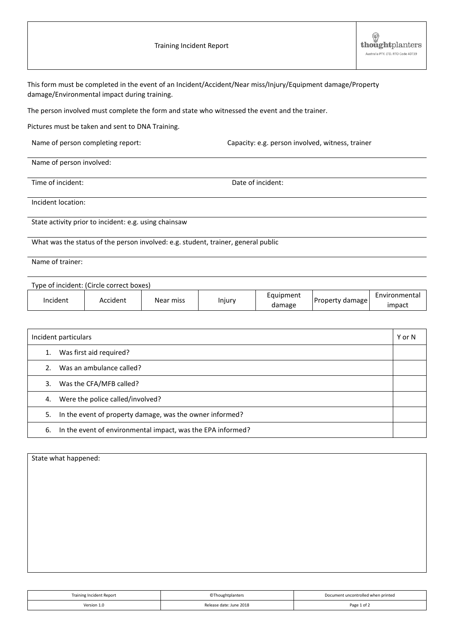| <b>Training Incident Report</b> |  |  |
|---------------------------------|--|--|
|---------------------------------|--|--|

| This form must be completed in the event of an Incident/Accident/Near miss/Injury/Equipment damage/Property<br>damage/Environmental impact during training. |                                   |           |        |                     |                                                  |                         |
|-------------------------------------------------------------------------------------------------------------------------------------------------------------|-----------------------------------|-----------|--------|---------------------|--------------------------------------------------|-------------------------|
| The person involved must complete the form and state who witnessed the event and the trainer.                                                               |                                   |           |        |                     |                                                  |                         |
| Pictures must be taken and sent to DNA Training.                                                                                                            |                                   |           |        |                     |                                                  |                         |
|                                                                                                                                                             | Name of person completing report: |           |        |                     | Capacity: e.g. person involved, witness, trainer |                         |
| Name of person involved:                                                                                                                                    |                                   |           |        |                     |                                                  |                         |
| Time of incident:                                                                                                                                           |                                   |           |        | Date of incident:   |                                                  |                         |
| Incident location:                                                                                                                                          |                                   |           |        |                     |                                                  |                         |
| State activity prior to incident: e.g. using chainsaw                                                                                                       |                                   |           |        |                     |                                                  |                         |
| What was the status of the person involved: e.g. student, trainer, general public                                                                           |                                   |           |        |                     |                                                  |                         |
| Name of trainer:                                                                                                                                            |                                   |           |        |                     |                                                  |                         |
| Type of incident: (Circle correct boxes)                                                                                                                    |                                   |           |        |                     |                                                  |                         |
| Incident                                                                                                                                                    | Accident                          | Near miss | Injury | Equipment<br>damage | Property damage                                  | Environmental<br>impact |

| Incident particulars |                                                             | Y or N |
|----------------------|-------------------------------------------------------------|--------|
| 1.                   | Was first aid required?                                     |        |
|                      | 2. Was an ambulance called?                                 |        |
| 3.                   | Was the CFA/MFB called?                                     |        |
| 4.                   | Were the police called/involved?                            |        |
| 5.                   | In the event of property damage, was the owner informed?    |        |
| 6.                   | In the event of environmental impact, was the EPA informed? |        |

| State what happened: |  |  |
|----------------------|--|--|
|                      |  |  |
|                      |  |  |
|                      |  |  |
|                      |  |  |
|                      |  |  |
|                      |  |  |
|                      |  |  |
|                      |  |  |
|                      |  |  |

| Training Incident Report | <b>CThoughtplanters</b> | Document uncontrolled when printed |
|--------------------------|-------------------------|------------------------------------|
| Version 1.0              | Release date: June 2018 | Page 1 of 2                        |